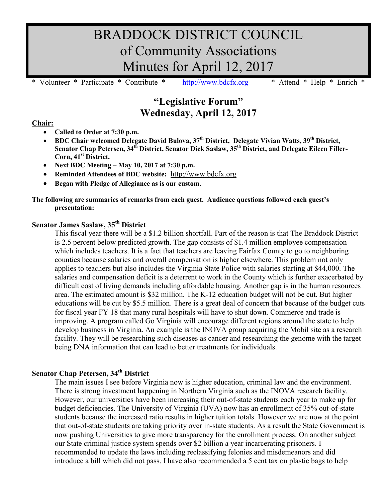# BRADDOCK DISTRICT COUNCIL of Community Associations Minutes for April 12, 2017

Volunteer \* Participate \* Contribute \* [http://www.bdcfx.org](http://www.bdcfx.org/) \* Attend \* Help \* Enrich

# **"Legislative Forum" Wednesday, April 12, 2017**

#### **Chair:**

- **Called to Order at 7:30 p.m.**
- **BDC Chair welcomed Delegate David Bulova, 37th District, Delegate Vivian Watts, 39th District, Senator Chap Petersen, 34th District, Senator Dick Saslaw, 35th District, and Delegate Eileen Filler-Corn, 41st District.**
- **Next BDC Meeting – May 10, 2017 at 7:30 p.m.**
- **Reminded Attendees of BDC website:** [http://www.bdcfx.org](http://www.bdcfx.org/)
- **Began with Pledge of Allegiance as is our custom.**

#### **The following are summaries of remarks from each guest. Audience questions followed each guest's presentation:**

# **Senator James Saslaw, 35th District**

This fiscal year there will be a \$1.2 billion shortfall. Part of the reason is that The Braddock District is 2.5 percent below predicted growth. The gap consists of \$1.4 million employee compensation which includes teachers. It is a fact that teachers are leaving Fairfax County to go to neighboring counties because salaries and overall compensation is higher elsewhere. This problem not only applies to teachers but also includes the Virginia State Police with salaries starting at \$44,000. The salaries and compensation deficit is a deterrent to work in the County which is further exacerbated by difficult cost of living demands including affordable housing. Another gap is in the human resources area. The estimated amount is \$32 million. The K-12 education budget will not be cut. But higher educations will be cut by \$5.5 million. There is a great deal of concern that because of the budget cuts for fiscal year FY 18 that many rural hospitals will have to shut down. Commerce and trade is improving. A program called Go Virginia will encourage different regions around the state to help develop business in Virginia. An example is the INOVA group acquiring the Mobil site as a research facility. They will be researching such diseases as cancer and researching the genome with the target being DNA information that can lead to better treatments for individuals.

## **Senator Chap Petersen, 34th District**

The main issues I see before Virginia now is higher education, criminal law and the environment. There is strong investment happening in Northern Virginia such as the INOVA research facility. However, our universities have been increasing their out-of-state students each year to make up for budget deficiencies. The University of Virginia (UVA) now has an enrollment of 35% out-of-state students because the increased ratio results in higher tuition totals. However we are now at the point that out-of-state students are taking priority over in-state students. As a result the State Government is now pushing Universities to give more transparency for the enrollment process. On another subject our State criminal justice system spends over \$2 billion a year incarcerating prisoners. I recommended to update the laws including reclassifying felonies and misdemeanors and did introduce a bill which did not pass. I have also recommended a 5 cent tax on plastic bags to help